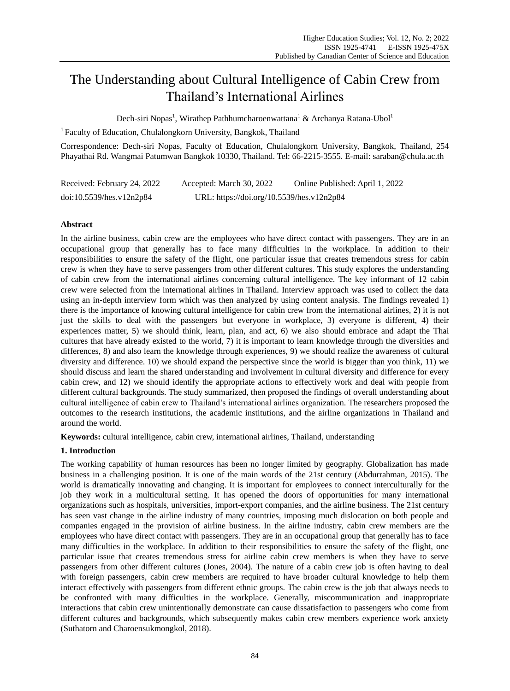# The Understanding about Cultural Intelligence of Cabin Crew from Thailand's International Airlines

Dech-siri Nopas<sup>1</sup>, Wirathep Pathhumcharoenwattana<sup>1</sup> & Archanya Ratana-Ubol<sup>1</sup>

<sup>1</sup> Faculty of Education, Chulalongkorn University, Bangkok, Thailand

Correspondence: Dech-siri Nopas, Faculty of Education, Chulalongkorn University, Bangkok, Thailand, 254 Phayathai Rd. Wangmai Patumwan Bangkok 10330, Thailand. Tel: 66-2215-3555. E-mail: saraban@chula.ac.th

| Received: February 24, 2022 | Accepted: March 30, 2022                  | Online Published: April 1, 2022 |
|-----------------------------|-------------------------------------------|---------------------------------|
| doi:10.5539/hes.v12n2p84    | URL: https://doi.org/10.5539/hes.v12n2p84 |                                 |

### **Abstract**

In the airline business, cabin crew are the employees who have direct contact with passengers. They are in an occupational group that generally has to face many difficulties in the workplace. In addition to their responsibilities to ensure the safety of the flight, one particular issue that creates tremendous stress for cabin crew is when they have to serve passengers from other different cultures. This study explores the understanding of cabin crew from the international airlines concerning cultural intelligence. The key informant of 12 cabin crew were selected from the international airlines in Thailand. Interview approach was used to collect the data using an in-depth interview form which was then analyzed by using content analysis. The findings revealed 1) there is the importance of knowing cultural intelligence for cabin crew from the international airlines, 2) it is not just the skills to deal with the passengers but everyone in workplace, 3) everyone is different, 4) their experiences matter, 5) we should think, learn, plan, and act, 6) we also should embrace and adapt the Thai cultures that have already existed to the world, 7) it is important to learn knowledge through the diversities and differences, 8) and also learn the knowledge through experiences, 9) we should realize the awareness of cultural diversity and difference. 10) we should expand the perspective since the world is bigger than you think, 11) we should discuss and learn the shared understanding and involvement in cultural diversity and difference for every cabin crew, and 12) we should identify the appropriate actions to effectively work and deal with people from different cultural backgrounds. The study summarized, then proposed the findings of overall understanding about cultural intelligence of cabin crew to Thailand's international airlines organization. The researchers proposed the outcomes to the research institutions, the academic institutions, and the airline organizations in Thailand and around the world.

**Keywords:** cultural intelligence, cabin crew, international airlines, Thailand, understanding

## **1. Introduction**

The working capability of human resources has been no longer limited by geography. Globalization has made business in a challenging position. It is one of the main words of the 21st century (Abdurrahman, 2015). The world is dramatically innovating and changing. It is important for employees to connect interculturally for the job they work in a multicultural setting. It has opened the doors of opportunities for many international organizations such as hospitals, universities, import-export companies, and the airline business. The 21st century has seen vast change in the airline industry of many countries, imposing much dislocation on both people and companies engaged in the provision of airline business. In the airline industry, cabin crew members are the employees who have direct contact with passengers. They are in an occupational group that generally has to face many difficulties in the workplace. In addition to their responsibilities to ensure the safety of the flight, one particular issue that creates tremendous stress for airline cabin crew members is when they have to serve passengers from other different cultures (Jones, 2004). The nature of a cabin crew job is often having to deal with foreign passengers, cabin crew members are required to have broader cultural knowledge to help them interact effectively with passengers from different ethnic groups. The cabin crew is the job that always needs to be confronted with many difficulties in the workplace. Generally, miscommunication and inappropriate interactions that cabin crew unintentionally demonstrate can cause dissatisfaction to passengers who come from different cultures and backgrounds, which subsequently makes cabin crew members experience work anxiety (Suthatorn and Charoensukmongkol, 2018).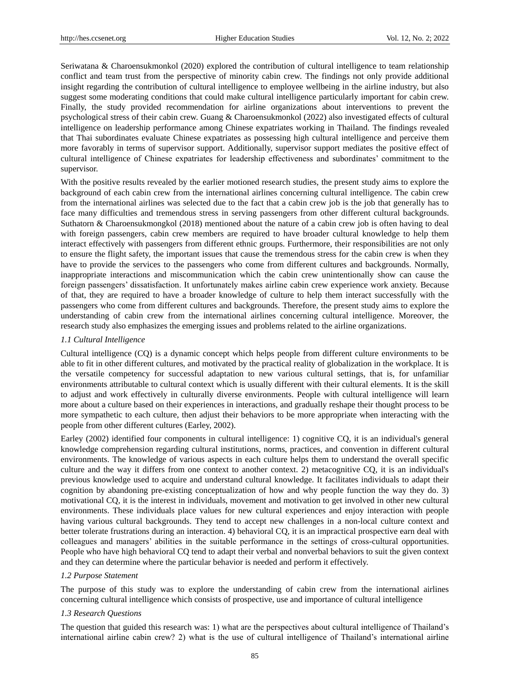Seriwatana & Charoensukmonkol (2020) explored the contribution of cultural intelligence to team relationship conflict and team trust from the perspective of minority cabin crew. The findings not only provide additional insight regarding the contribution of cultural intelligence to employee wellbeing in the airline industry, but also suggest some moderating conditions that could make cultural intelligence particularly important for cabin crew. Finally, the study provided recommendation for airline organizations about interventions to prevent the psychological stress of their cabin crew. Guang & Charoensukmonkol (2022) also investigated effects of cultural intelligence on leadership performance among Chinese expatriates working in Thailand. The findings revealed that Thai subordinates evaluate Chinese expatriates as possessing high cultural intelligence and perceive them more favorably in terms of supervisor support. Additionally, supervisor support mediates the positive effect of cultural intelligence of Chinese expatriates for leadership effectiveness and subordinates' commitment to the supervisor.

With the positive results revealed by the earlier motioned research studies, the present study aims to explore the background of each cabin crew from the international airlines concerning cultural intelligence. The cabin crew from the international airlines was selected due to the fact that a cabin crew job is the job that generally has to face many difficulties and tremendous stress in serving passengers from other different cultural backgrounds. Suthatorn & Charoensukmongkol (2018) mentioned about the nature of a cabin crew job is often having to deal with foreign passengers, cabin crew members are required to have broader cultural knowledge to help them interact effectively with passengers from different ethnic groups. Furthermore, their responsibilities are not only to ensure the flight safety, the important issues that cause the tremendous stress for the cabin crew is when they have to provide the services to the passengers who come from different cultures and backgrounds. Normally, inappropriate interactions and miscommunication which the cabin crew unintentionally show can cause the foreign passengers' dissatisfaction. It unfortunately makes airline cabin crew experience work anxiety. Because of that, they are required to have a broader knowledge of culture to help them interact successfully with the passengers who come from different cultures and backgrounds. Therefore, the present study aims to explore the understanding of cabin crew from the international airlines concerning cultural intelligence. Moreover, the research study also emphasizes the emerging issues and problems related to the airline organizations.

### *1.1 Cultural Intelligence*

Cultural intelligence (CQ) is a dynamic concept which helps people from different culture environments to be able to fit in other different cultures, and motivated by the practical reality of globalization in the workplace. It is the versatile competency for successful adaptation to new various cultural settings, that is, for unfamiliar environments attributable to cultural context which is usually different with their cultural elements. It is the skill to adjust and work effectively in culturally diverse environments. People with cultural intelligence will learn more about a culture based on their experiences in interactions, and gradually reshape their thought process to be more sympathetic to each culture, then adjust their behaviors to be more appropriate when interacting with the people from other different cultures (Earley, 2002).

Earley (2002) identified four components in cultural intelligence: 1) cognitive CQ, it is an individual's general knowledge comprehension regarding cultural institutions, norms, practices, and convention in different cultural environments. The knowledge of various aspects in each culture helps them to understand the overall specific culture and the way it differs from one context to another context. 2) metacognitive CQ, it is an individual's previous knowledge used to acquire and understand cultural knowledge. It facilitates individuals to adapt their cognition by abandoning pre-existing conceptualization of how and why people function the way they do. 3) motivational CQ, it is the interest in individuals, movement and motivation to get involved in other new cultural environments. These individuals place values for new cultural experiences and enjoy interaction with people having various cultural backgrounds. They tend to accept new challenges in a non-local culture context and better tolerate frustrations during an interaction. 4) behavioral CQ, it is an impractical prospective earn deal with colleagues and managers' abilities in the suitable performance in the settings of cross-cultural opportunities. People who have high behavioral CQ tend to adapt their verbal and nonverbal behaviors to suit the given context and they can determine where the particular behavior is needed and perform it effectively.

### *1.2 Purpose Statement*

The purpose of this study was to explore the understanding of cabin crew from the international airlines concerning cultural intelligence which consists of prospective, use and importance of cultural intelligence

### *1.3 Research Questions*

The question that guided this research was: 1) what are the perspectives about cultural intelligence of Thailand's international airline cabin crew? 2) what is the use of cultural intelligence of Thailand's international airline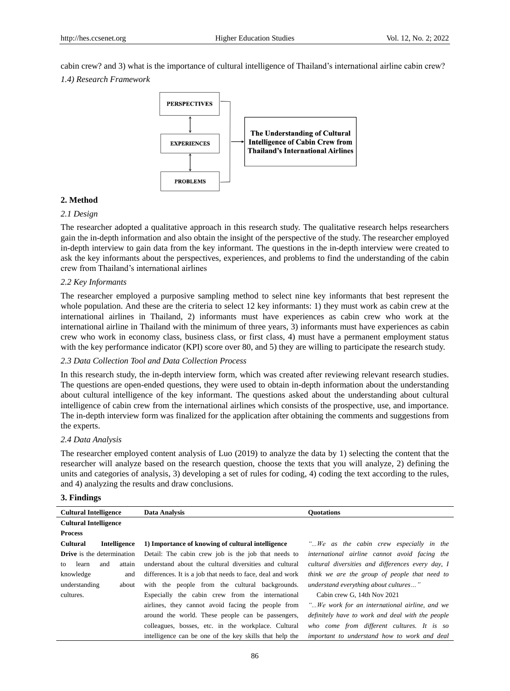cabin crew? and 3) what is the importance of cultural intelligence of Thailand's international airline cabin crew?

*1.4) Research Framework*



### **2. Method**

### *2.1 Design*

The researcher adopted a qualitative approach in this research study. The qualitative research helps researchers gain the in-depth information and also obtain the insight of the perspective of the study. The researcher employed in-depth interview to gain data from the key informant. The questions in the in-depth interview were created to ask the key informants about the perspectives, experiences, and problems to find the understanding of the cabin crew from Thailand's international airlines

### *2.2 Key Informants*

The researcher employed a purposive sampling method to select nine key informants that best represent the whole population. And these are the criteria to select 12 key informants: 1) they must work as cabin crew at the international airlines in Thailand, 2) informants must have experiences as cabin crew who work at the international airline in Thailand with the minimum of three years, 3) informants must have experiences as cabin crew who work in economy class, business class, or first class, 4) must have a permanent employment status with the key performance indicator (KPI) score over 80, and 5) they are willing to participate the research study.

### *2.3 Data Collection Tool and Data Collection Process*

In this research study, the in-depth interview form, which was created after reviewing relevant research studies. The questions are open-ended questions, they were used to obtain in-depth information about the understanding about cultural intelligence of the key informant. The questions asked about the understanding about cultural intelligence of cabin crew from the international airlines which consists of the prospective, use, and importance. The in-depth interview form was finalized for the application after obtaining the comments and suggestions from the experts.

### *2.4 Data Analysis*

The researcher employed content analysis of Luo (2019) to analyze the data by 1) selecting the content that the researcher will analyze based on the research question, choose the texts that you will analyze, 2) defining the units and categories of analysis, 3) developing a set of rules for coding, 4) coding the text according to the rules, and 4) analyzing the results and draw conclusions.

### **3. Findings**

| <b>Cultural Intelligence</b>      | Data Analysis                                              | <b>Quotations</b>                                 |
|-----------------------------------|------------------------------------------------------------|---------------------------------------------------|
| <b>Cultural Intelligence</b>      |                                                            |                                                   |
| <b>Process</b>                    |                                                            |                                                   |
| <b>Cultural</b><br>Intelligence   | 1) Importance of knowing of cultural intelligence          | "We as the cabin crew especially in the           |
| <b>Drive</b> is the determination | Detail: The cabin crew job is the job that needs to        | international airline cannot avoid facing the     |
| learn<br>and<br>attain<br>to      | understand about the cultural diversities and cultural     | cultural diversities and differences every day, I |
| knowledge<br>and                  | differences. It is a job that needs to face, deal and work | think we are the group of people that need to     |
| understanding<br>about            | with the people from the cultural backgrounds.             | understand everything about cultures"             |
| cultures.                         | Especially the cabin crew from the international           | Cabin crew G, 14th Nov 2021                       |
|                                   | airlines, they cannot avoid facing the people from         | "We work for an international airline, and we     |
|                                   | around the world. These people can be passengers,          | definitely have to work and deal with the people  |
|                                   | colleagues, bosses, etc. in the workplace. Cultural        | who come from different cultures. It is so        |
|                                   | intelligence can be one of the key skills that help the    | important to understand how to work and deal      |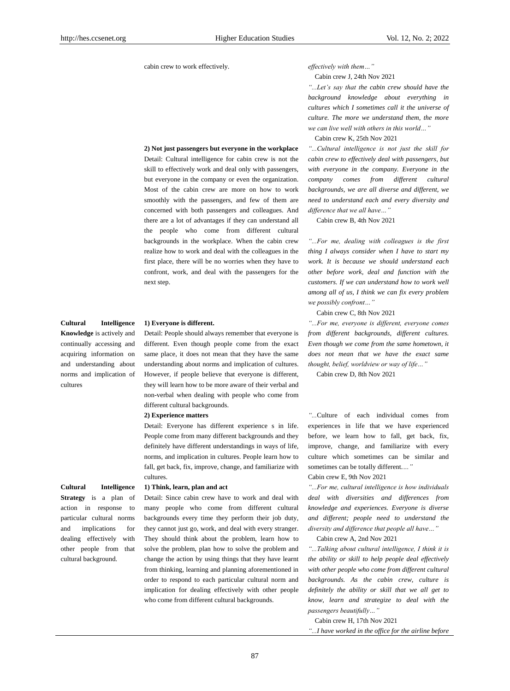cabin crew to work effectively. *effectively with them…"*

#### **2) Not just passengers but everyone in the workplace**

Detail: Cultural intelligence for cabin crew is not the skill to effectively work and deal only with passengers, but everyone in the company or even the organization. Most of the cabin crew are more on how to work smoothly with the passengers, and few of them are concerned with both passengers and colleagues. And there are a lot of advantages if they can understand all the people who come from different cultural backgrounds in the workplace. When the cabin crew realize how to work and deal with the colleagues in the first place, there will be no worries when they have to confront, work, and deal with the passengers for the next step.

**Cultural Intelligence Knowledge** is actively and

continually accessing and acquiring information on and understanding about norms and implication of cultures

#### **1) Everyone is different.**

Detail: People should always remember that everyone is different. Even though people come from the exact same place, it does not mean that they have the same understanding about norms and implication of cultures. However, if people believe that everyone is different, they will learn how to be more aware of their verbal and non-verbal when dealing with people who come from different cultural backgrounds.

#### **2) Experience matters**

Detail: Everyone has different experience s in life. People come from many different backgrounds and they definitely have different understandings in ways of life, norms, and implication in cultures. People learn how to fall, get back, fix, improve, change, and familiarize with cultures.

**1) Think, learn, plan and act**

Detail: Since cabin crew have to work and deal with many people who come from different cultural backgrounds every time they perform their job duty, they cannot just go, work, and deal with every stranger. They should think about the problem, learn how to solve the problem, plan how to solve the problem and change the action by using things that they have learnt from thinking, learning and planning aforementioned in order to respond to each particular cultural norm and implication for dealing effectively with other people who come from different cultural backgrounds.

Cabin crew J, 24th Nov 2021

*"...Let's say that the cabin crew should have the background knowledge about everything in cultures which I sometimes call it the universe of culture. The more we understand them, the more we can live well with others in this world…"*

Cabin crew K, 25th Nov 2021

*"...Cultural intelligence is not just the skill for cabin crew to effectively deal with passengers, but with everyone in the company. Everyone in the company comes from different cultural backgrounds, we are all diverse and different, we need to understand each and every diversity and difference that we all have…"*

Cabin crew B, 4th Nov 2021

*"...For me, dealing with colleagues is the first thing I always consider when I have to start my work. It is because we should understand each other before work, deal and function with the customers. If we can understand how to work well among all of us, I think we can fix every problem we possibly confront…"*

Cabin crew C, 8th Nov 2021

*"...For me, everyone is different, everyone comes from different backgrounds, different cultures. Even though we come from the same hometown, it does not mean that we have the exact same thought, belief, worldview or way of life…"*

Cabin crew D, 8th Nov 2021

*"...*Culture of each individual comes from experiences in life that we have experienced before, we learn how to fall, get back, fix, improve, change, and familiarize with every culture which sometimes can be similar and sometimes can be totally different.*…"*

Cabin crew E, 9th Nov 2021

*"...For me, cultural intelligence is how individuals deal with diversities and differences from knowledge and experiences. Everyone is diverse and different; people need to understand the diversity and difference that people all have…"*

Cabin crew A, 2nd Nov 2021

*"...Talking about cultural intelligence, I think it is the ability or skill to help people deal effectively with other people who come from different cultural backgrounds. As the cabin crew, culture is definitely the ability or skill that we all get to know, learn and strategize to deal with the passengers beautifully…"*

Cabin crew H, 17th Nov 2021

*"...I have worked in the office for the airline before* 

**Cultural Intelligence Strategy** is a plan of action in response to particular cultural norms and implications for dealing effectively with other people from that cultural background.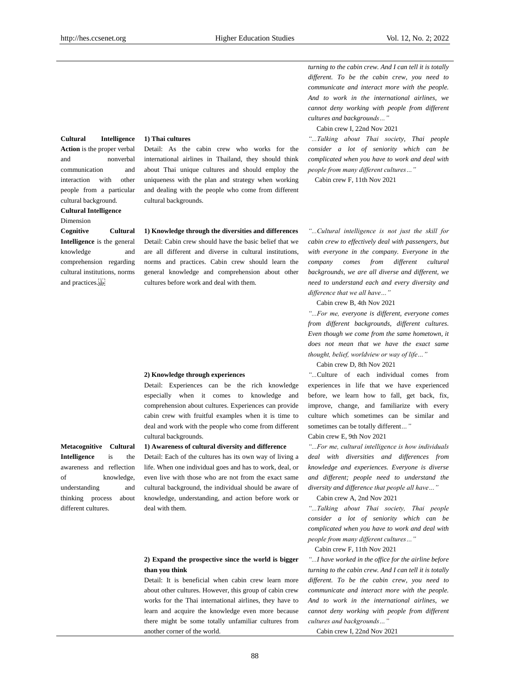*turning to the cabin crew. And I can tell it is totally different. To be the cabin crew, you need to communicate and interact more with the people. And to work in the international airlines, we cannot deny working with people from different cultures and backgrounds…"*

Cabin crew I, 22nd Nov 2021

*"...Talking about Thai society, Thai people consider a lot of seniority which can be complicated when you have to work and deal with people from many different cultures…"*

Cabin crew F, 11th Nov 2021

**Action** is the proper verbal and nonverbal communication and interaction with other people from a particular cultural background. **Cultural Intelligence**

**Cultural Intelligence** 

Dimension

**Cognitive Cultural Intelligence** is the general knowledge and comprehension regarding cultural institutions, norms and practices.

### **1) Thai cultures**

Detail: As the cabin crew who works for the international airlines in Thailand, they should think about Thai unique cultures and should employ the uniqueness with the plan and strategy when working and dealing with the people who come from different cultural backgrounds.

**1) Knowledge through the diversities and differences** Detail: Cabin crew should have the basic belief that we are all different and diverse in cultural institutions, norms and practices. Cabin crew should learn the general knowledge and comprehension about other cultures before work and deal with them.

#### **2) Knowledge through experiences**

Detail: Experiences can be the rich knowledge especially when it comes to knowledge and comprehension about cultures. Experiences can provide cabin crew with fruitful examples when it is time to deal and work with the people who come from different cultural backgrounds.

#### **1) Awareness of cultural diversity and difference**

Detail: Each of the cultures has its own way of living a life. When one individual goes and has to work, deal, or even live with those who are not from the exact same cultural background, the individual should be aware of knowledge, understanding, and action before work or deal with them.

### **2) Expand the prospective since the world is bigger than you think**

Detail: It is beneficial when cabin crew learn more about other cultures. However, this group of cabin crew works for the Thai international airlines, they have to learn and acquire the knowledge even more because there might be some totally unfamiliar cultures from another corner of the world.

*"...Cultural intelligence is not just the skill for cabin crew to effectively deal with passengers, but with everyone in the company. Everyone in the company comes from different cultural backgrounds, we are all diverse and different, we need to understand each and every diversity and difference that we all have…"*

Cabin crew B, 4th Nov 2021

*"...For me, everyone is different, everyone comes from different backgrounds, different cultures. Even though we come from the same hometown, it does not mean that we have the exact same thought, belief, worldview or way of life…"*

Cabin crew D, 8th Nov 2021

*"...*Culture of each individual comes from experiences in life that we have experienced before, we learn how to fall, get back, fix, improve, change, and familiarize with every culture which sometimes can be similar and sometimes can be totally different*…"*

Cabin crew E, 9th Nov 2021

*"...For me, cultural intelligence is how individuals deal with diversities and differences from knowledge and experiences. Everyone is diverse and different; people need to understand the diversity and difference that people all have…"*

Cabin crew A, 2nd Nov 2021

*"...Talking about Thai society, Thai people consider a lot of seniority which can be complicated when you have to work and deal with people from many different cultures…"*

Cabin crew F, 11th Nov 2021

*"...I have worked in the office for the airline before turning to the cabin crew. And I can tell it is totally different. To be the cabin crew, you need to communicate and interact more with the people. And to work in the international airlines, we cannot deny working with people from different cultures and backgrounds…"*

Cabin crew I, 22nd Nov 2021

### **Metacognitive Cultural Intelligence** is the awareness and reflection of knowledge, understanding and thinking process about different cultures.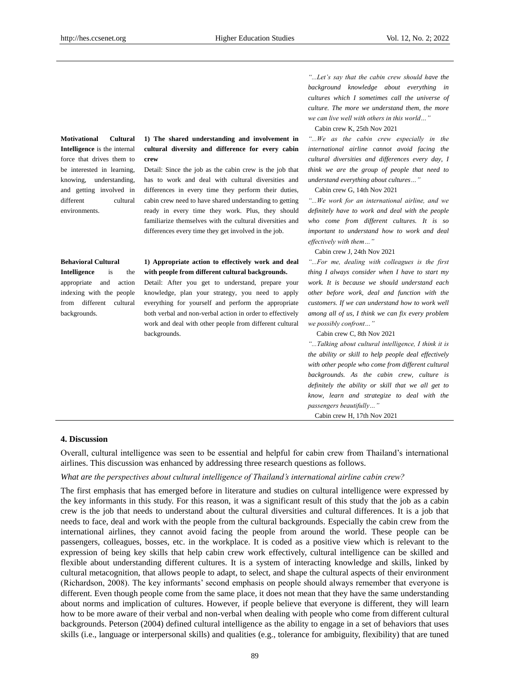**Motivational Cultural Intelligence** is the internal force that drives them to be interested in learning, knowing, understanding, and getting involved in different cultural environments.

### **1) The shared understanding and involvement in cultural diversity and difference for every cabin crew**

Detail: Since the job as the cabin crew is the job that has to work and deal with cultural diversities and differences in every time they perform their duties, cabin crew need to have shared understanding to getting ready in every time they work. Plus, they should familiarize themselves with the cultural diversities and differences every time they get involved in the job.

#### **Behavioral Cultural**

**Intelligence** is the appropriate and action indexing with the people from different cultural backgrounds.

### **1) Appropriate action to effectively work and deal with people from different cultural backgrounds.**

Detail: After you get to understand, prepare your knowledge, plan your strategy, you need to apply everything for yourself and perform the appropriate both verbal and non-verbal action in order to effectively work and deal with other people from different cultural backgrounds.

### *"...Let's say that the cabin crew should have the background knowledge about everything in cultures which I sometimes call the universe of culture. The more we understand them, the more we can live well with others in this world…"*

Cabin crew K, 25th Nov 2021

*"...We as the cabin crew especially in the international airline cannot avoid facing the cultural diversities and differences every day, I think we are the group of people that need to understand everything about cultures…"*

Cabin crew G, 14th Nov 2021

*"...We work for an international airline, and we definitely have to work and deal with the people who come from different cultures. It is so important to understand how to work and deal effectively with them…"*

Cabin crew J, 24th Nov 2021

*"...For me, dealing with colleagues is the first thing I always consider when I have to start my work. It is because we should understand each other before work, deal and function with the customers. If we can understand how to work well among all of us, I think we can fix every problem we possibly confront…"*

Cabin crew C, 8th Nov 2021

*"...Talking about cultural intelligence, I think it is the ability or skill to help people deal effectively with other people who come from different cultural backgrounds. As the cabin crew, culture is definitely the ability or skill that we all get to know, learn and strategize to deal with the passengers beautifully…"*

Cabin crew H, 17th Nov 2021

### **4. Discussion**

Overall, cultural intelligence was seen to be essential and helpful for cabin crew from Thailand's international airlines. This discussion was enhanced by addressing three research questions as follows.

### *What are the perspectives about cultural intelligence of Thailand's international airline cabin crew?*

The first emphasis that has emerged before in literature and studies on cultural intelligence were expressed by the key informants in this study. For this reason, it was a significant result of this study that the job as a cabin crew is the job that needs to understand about the cultural diversities and cultural differences. It is a job that needs to face, deal and work with the people from the cultural backgrounds. Especially the cabin crew from the international airlines, they cannot avoid facing the people from around the world. These people can be passengers, colleagues, bosses, etc. in the workplace. It is coded as a positive view which is relevant to the expression of being key skills that help cabin crew work effectively, cultural intelligence can be skilled and flexible about understanding different cultures. It is a system of interacting knowledge and skills, linked by cultural metacognition, that allows people to adapt, to select, and shape the cultural aspects of their environment (Richardson, 2008). The key informants' second emphasis on people should always remember that everyone is different. Even though people come from the same place, it does not mean that they have the same understanding about norms and implication of cultures. However, if people believe that everyone is different, they will learn how to be more aware of their verbal and non-verbal when dealing with people who come from different cultural backgrounds. Peterson (2004) defined cultural intelligence as the ability to engage in a set of behaviors that uses skills (i.e., language or interpersonal skills) and qualities (e.g., tolerance for ambiguity, flexibility) that are tuned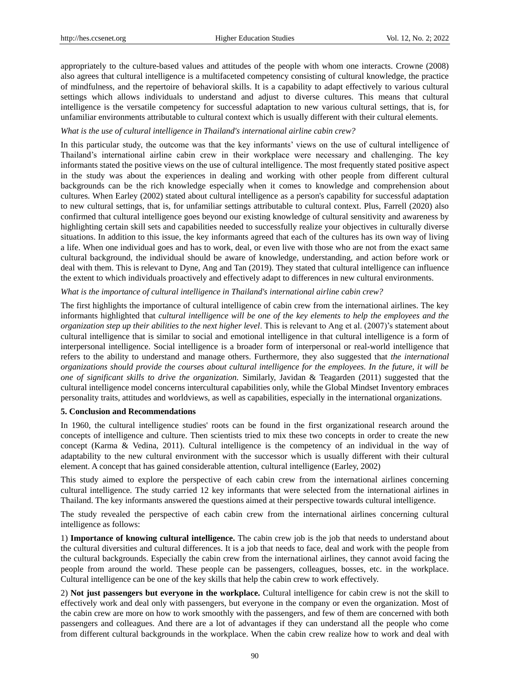appropriately to the culture-based values and attitudes of the people with whom one interacts. Crowne (2008) also agrees that cultural intelligence is a multifaceted competency consisting of cultural knowledge, the practice of mindfulness, and the repertoire of behavioral skills. It is a capability to adapt effectively to various cultural settings which allows individuals to understand and adjust to diverse cultures. This means that cultural intelligence is the versatile competency for successful adaptation to new various cultural settings, that is, for unfamiliar environments attributable to cultural context which is usually different with their cultural elements.

### *What is the use of cultural intelligence in Thailand's international airline cabin crew?*

In this particular study, the outcome was that the key informants' views on the use of cultural intelligence of Thailand's international airline cabin crew in their workplace were necessary and challenging. The key informants stated the positive views on the use of cultural intelligence. The most frequently stated positive aspect in the study was about the experiences in dealing and working with other people from different cultural backgrounds can be the rich knowledge especially when it comes to knowledge and comprehension about cultures. When Earley (2002) stated about cultural intelligence as a person's capability for successful adaptation to new cultural settings, that is, for unfamiliar settings attributable to cultural context. Plus, Farrell (2020) also confirmed that cultural intelligence goes beyond our existing knowledge of cultural sensitivity and awareness by highlighting certain skill sets and capabilities needed to successfully realize your objectives in culturally diverse situations. In addition to this issue, the key informants agreed that each of the cultures has its own way of living a life. When one individual goes and has to work, deal, or even live with those who are not from the exact same cultural background, the individual should be aware of knowledge, understanding, and action before work or deal with them. This is relevant to Dyne, Ang and Tan (2019). They stated that cultural intelligence can influence the extent to which individuals proactively and effectively adapt to differences in new cultural environments.

### *What is the importance of cultural intelligence in Thailand's international airline cabin crew?*

The first highlights the importance of cultural intelligence of cabin crew from the international airlines. The key informants highlighted that *cultural intelligence will be one of the key elements to help the employees and the organization step up their abilities to the next higher level*. This is relevant to Ang et al. (2007)'s statement about cultural intelligence that is similar to social and emotional intelligence in that cultural intelligence is a form of interpersonal intelligence. Social intelligence is a broader form of interpersonal or real-world intelligence that refers to the ability to understand and manage others. Furthermore, they also suggested that *the international organizations should provide the courses about cultural intelligence for the employees. In the future, it will be one of significant skills to drive the organization.* Similarly, Javidan & Teagarden (2011) suggested that the cultural intelligence model concerns intercultural capabilities only, while the Global Mindset Inventory embraces personality traits, attitudes and worldviews, as well as capabilities, especially in the international organizations.

### **5. Conclusion and Recommendations**

In 1960, the cultural intelligence studies' roots can be found in the first organizational research around the concepts of intelligence and culture. Then scientists tried to mix these two concepts in order to create the new concept (Karma & Vedina, 2011). Cultural intelligence is the competency of an individual in the way of adaptability to the new cultural environment with the successor which is usually different with their cultural element. A concept that has gained considerable attention, cultural intelligence (Earley, 2002)

This study aimed to explore the perspective of each cabin crew from the international airlines concerning cultural intelligence. The study carried 12 key informants that were selected from the international airlines in Thailand. The key informants answered the questions aimed at their perspective towards cultural intelligence.

The study revealed the perspective of each cabin crew from the international airlines concerning cultural intelligence as follows:

1) **Importance of knowing cultural intelligence.** The cabin crew job is the job that needs to understand about the cultural diversities and cultural differences. It is a job that needs to face, deal and work with the people from the cultural backgrounds. Especially the cabin crew from the international airlines, they cannot avoid facing the people from around the world. These people can be passengers, colleagues, bosses, etc. in the workplace. Cultural intelligence can be one of the key skills that help the cabin crew to work effectively.

2) **Not just passengers but everyone in the workplace.** Cultural intelligence for cabin crew is not the skill to effectively work and deal only with passengers, but everyone in the company or even the organization. Most of the cabin crew are more on how to work smoothly with the passengers, and few of them are concerned with both passengers and colleagues. And there are a lot of advantages if they can understand all the people who come from different cultural backgrounds in the workplace. When the cabin crew realize how to work and deal with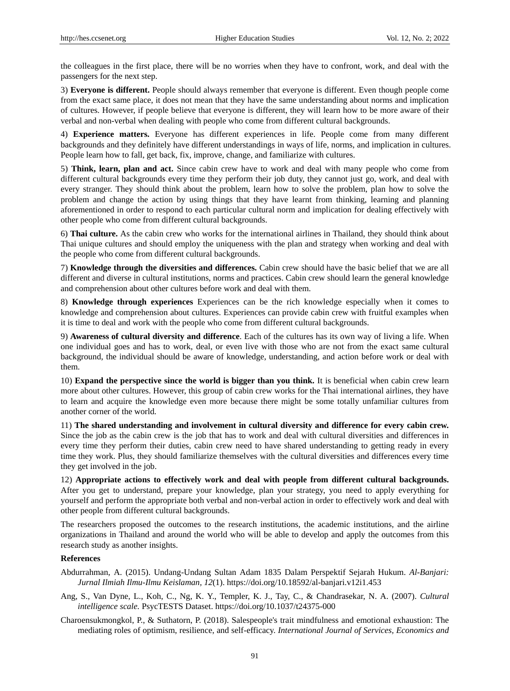the colleagues in the first place, there will be no worries when they have to confront, work, and deal with the passengers for the next step.

3) **Everyone is different.** People should always remember that everyone is different. Even though people come from the exact same place, it does not mean that they have the same understanding about norms and implication of cultures. However, if people believe that everyone is different, they will learn how to be more aware of their verbal and non-verbal when dealing with people who come from different cultural backgrounds.

4) **Experience matters.** Everyone has different experiences in life. People come from many different backgrounds and they definitely have different understandings in ways of life, norms, and implication in cultures. People learn how to fall, get back, fix, improve, change, and familiarize with cultures.

5) **Think, learn, plan and act.** Since cabin crew have to work and deal with many people who come from different cultural backgrounds every time they perform their job duty, they cannot just go, work, and deal with every stranger. They should think about the problem, learn how to solve the problem, plan how to solve the problem and change the action by using things that they have learnt from thinking, learning and planning aforementioned in order to respond to each particular cultural norm and implication for dealing effectively with other people who come from different cultural backgrounds.

6) **Thai culture.** As the cabin crew who works for the international airlines in Thailand, they should think about Thai unique cultures and should employ the uniqueness with the plan and strategy when working and deal with the people who come from different cultural backgrounds.

7) **Knowledge through the diversities and differences.** Cabin crew should have the basic belief that we are all different and diverse in cultural institutions, norms and practices. Cabin crew should learn the general knowledge and comprehension about other cultures before work and deal with them.

8) **Knowledge through experiences** Experiences can be the rich knowledge especially when it comes to knowledge and comprehension about cultures. Experiences can provide cabin crew with fruitful examples when it is time to deal and work with the people who come from different cultural backgrounds.

9) **Awareness of cultural diversity and difference**. Each of the cultures has its own way of living a life. When one individual goes and has to work, deal, or even live with those who are not from the exact same cultural background, the individual should be aware of knowledge, understanding, and action before work or deal with them.

10) **Expand the perspective since the world is bigger than you think.** It is beneficial when cabin crew learn more about other cultures. However, this group of cabin crew works for the Thai international airlines, they have to learn and acquire the knowledge even more because there might be some totally unfamiliar cultures from another corner of the world.

11) **The shared understanding and involvement in cultural diversity and difference for every cabin crew.**  Since the job as the cabin crew is the job that has to work and deal with cultural diversities and differences in every time they perform their duties, cabin crew need to have shared understanding to getting ready in every time they work. Plus, they should familiarize themselves with the cultural diversities and differences every time they get involved in the job.

12) **Appropriate actions to effectively work and deal with people from different cultural backgrounds.**  After you get to understand, prepare your knowledge, plan your strategy, you need to apply everything for yourself and perform the appropriate both verbal and non-verbal action in order to effectively work and deal with other people from different cultural backgrounds.

The researchers proposed the outcomes to the research institutions, the academic institutions, and the airline organizations in Thailand and around the world who will be able to develop and apply the outcomes from this research study as another insights.

### **References**

- Abdurrahman, A. (2015). Undang-Undang Sultan Adam 1835 Dalam Perspektif Sejarah Hukum. *Al-Banjari: Jurnal Ilmiah Ilmu-Ilmu Keislaman, 12*(1). https://doi.org/10.18592/al-banjari.v12i1.453
- Ang, S., Van Dyne, L., Koh, C., Ng, K. Y., Templer, K. J., Tay, C., & Chandrasekar, N. A. (2007). *Cultural intelligence scale.* PsycTESTS Dataset. https://doi.org/10.1037/t24375-000
- Charoensukmongkol, P., & Suthatorn, P. (2018). Salespeople's trait mindfulness and emotional exhaustion: The mediating roles of optimism, resilience, and self-efficacy. *International Journal of Services, Economics and*